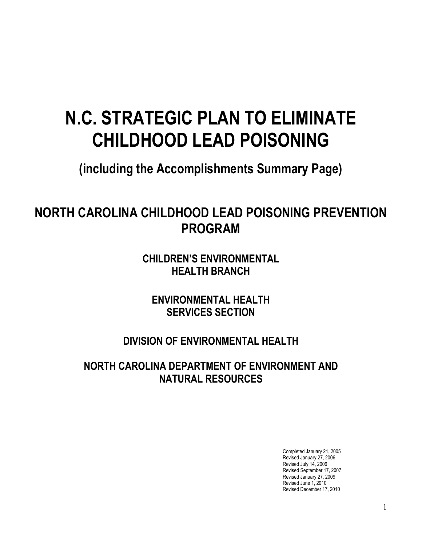# **N.C. STRATEGIC PLAN TO ELIMINATE CHILDHOOD LEAD POISONING**

**(including the Accomplishments Summary Page)** 

# **NORTH CAROLINA CHILDHOOD LEAD POISONING PREVENTION PROGRAM**

**CHILDREN'S ENVIRONMENTAL HEALTH BRANCH**

**ENVIRONMENTAL HEALTH SERVICES SECTION**

**DIVISION OF ENVIRONMENTAL HEALTH** 

**NORTH CAROLINA DEPARTMENT OF ENVIRONMENT AND NATURAL RESOURCES**

> Completed January 21, 2005 Revised January 27, 2006 Revised July 14, 2006 Revised September 17, 2007 Revised January 27, 2009 Revised June 1, 2010 Revised December 17, 2010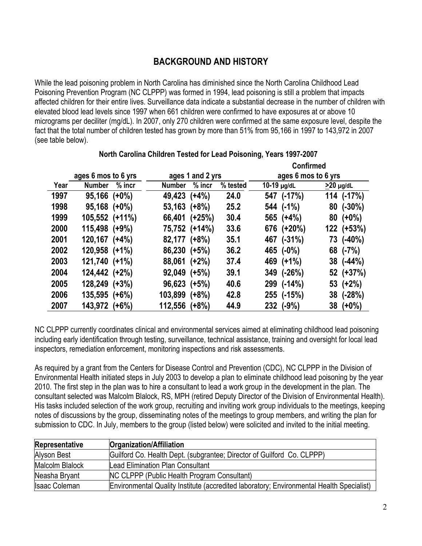# **BACKGROUND AND HISTORY**

While the lead poisoning problem in North Carolina has diminished since the North Carolina Childhood Lead Poisoning Prevention Program (NC CLPPP) was formed in 1994, lead poisoning is still a problem that impacts affected children for their entire lives. Surveillance data indicate a substantial decrease in the number of children with elevated blood lead levels since 1997 when 661 children were confirmed to have exposures at or above 10 micrograms per deciliter (mg/dL). In 2007, only 270 children were confirmed at the same exposure level, despite the fact that the total number of children tested has grown by more than 51% from 95,166 in 1997 to 143,972 in 2007 (see table below).

|      |                     |          |                  |               |          | <b>Confirmed</b>    |              |                 |              |
|------|---------------------|----------|------------------|---------------|----------|---------------------|--------------|-----------------|--------------|
|      | ages 6 mos to 6 yrs |          | ages 1 and 2 yrs |               |          | ages 6 mos to 6 yrs |              |                 |              |
| Year | <b>Number</b>       | $%$ incr | <b>Number</b>    | $%$ incr      | % tested | $10-19$ $\mu$ g/dL  |              | $\geq$ 20 µg/dL |              |
| 1997 | $95,166$ (+0%)      |          | 49,423 (+4%)     |               | 24.0     |                     | 547 (-17%)   |                 | $114$ (-17%) |
| 1998 | $95,168$ (+0%)      |          | $53,163$ (+8%)   |               | 25.2     |                     | 544 (-1%)    |                 | $80$ (-30%)  |
| 1999 | 105,552 (+11%)      |          |                  | 66,401 (+25%) | 30.4     |                     | 565 (+4%)    |                 | $80 (+0\%)$  |
| 2000 | 115,498 (+9%)       |          |                  | 75,752 (+14%) | 33.6     |                     | 676 (+20%)   |                 | 122 (+53%)   |
| 2001 | $120,167$ $(+4%)$   |          | 82,177 (+8%)     |               | 35.1     |                     | 467 (-31%)   |                 | 73 (-40%)    |
| 2002 | $120,958$ $(+1\%)$  |          | 86,230 (+5%)     |               | 36.2     |                     | 465 (-0%)    |                 | 68 (-7%)     |
| 2003 | 121,740 (+1%)       |          | $88,061$ (+2%)   |               | 37.4     |                     | 469 (+1%)    |                 | $38$ (-44%)  |
| 2004 | 124,442 (+2%)       |          | $92,049$ (+5%)   |               | 39.1     |                     | $349$ (-26%) |                 | 52 (+37%)    |
| 2005 | 128,249 (+3%)       |          | $96,623 (+5%)$   |               | 40.6     |                     | 299 (-14%)   |                 | $53 (+2\%)$  |
| 2006 | 135,595 (+6%)       |          | 103,899 (+8%)    |               | 42.8     |                     | 255 (-15%)   |                 | 38 (-28%)    |
| 2007 | 143,972 (+6%)       |          | 112,556 (+8%)    |               | 44.9     |                     | 232 (-9%)    |                 | $38 (+0\%)$  |

# **North Carolina Children Tested for Lead Poisoning, Years 1997-2007**

NC CLPPP currently coordinates clinical and environmental services aimed at eliminating childhood lead poisoning including early identification through testing, surveillance, technical assistance, training and oversight for local lead inspectors, remediation enforcement, monitoring inspections and risk assessments.

As required by a grant from the Centers for Disease Control and Prevention (CDC), NC CLPPP in the Division of Environmental Health initiated steps in July 2003 to develop a plan to eliminate childhood lead poisoning by the year 2010. The first step in the plan was to hire a consultant to lead a work group in the development in the plan. The consultant selected was Malcolm Blalock, RS, MPH (retired Deputy Director of the Division of Environmental Health). His tasks included selection of the work group, recruiting and inviting work group individuals to the meetings, keeping notes of discussions by the group, disseminating notes of the meetings to group members, and writing the plan for submission to CDC. In July, members to the group (listed below) were solicited and invited to the initial meeting.

| Representative       | <b>Organization/Affiliation</b>                                                          |
|----------------------|------------------------------------------------------------------------------------------|
| Alyson Best          | Guilford Co. Health Dept. (subgrantee; Director of Guilford Co. CLPPP)                   |
| Malcolm Blalock      | Lead Elimination Plan Consultant                                                         |
| Neasha Bryant        | <b>NC CLPPP (Public Health Program Consultant)</b>                                       |
| <b>Isaac Coleman</b> | Environmental Quality Institute (accredited laboratory; Environmental Health Specialist) |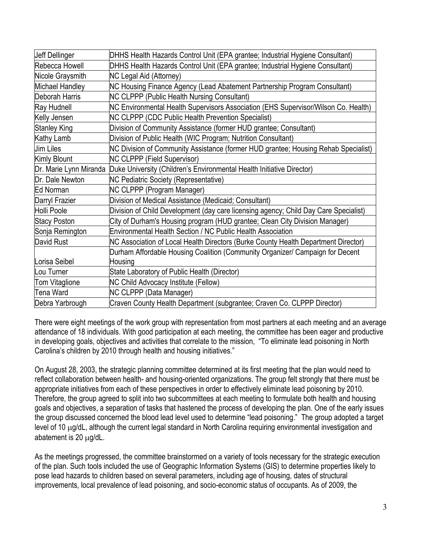| Jeff Dellinger      | DHHS Health Hazards Control Unit (EPA grantee; Industrial Hygiene Consultant)                |
|---------------------|----------------------------------------------------------------------------------------------|
| Rebecca Howell      | DHHS Health Hazards Control Unit (EPA grantee; Industrial Hygiene Consultant)                |
| Nicole Graysmith    | <b>NC Legal Aid (Attorney)</b>                                                               |
| Michael Handley     | NC Housing Finance Agency (Lead Abatement Partnership Program Consultant)                    |
| Deborah Harris      | <b>NC CLPPP (Public Health Nursing Consultant)</b>                                           |
| Ray Hudnell         | NC Environmental Health Supervisors Association (EHS Supervisor/Wilson Co. Health)           |
| Kelly Jensen        | <b>NC CLPPP (CDC Public Health Prevention Specialist)</b>                                    |
| <b>Stanley King</b> | Division of Community Assistance (former HUD grantee; Consultant)                            |
| <b>Kathy Lamb</b>   | Division of Public Health (WIC Program; Nutrition Consultant)                                |
| Jim Liles           | NC Division of Community Assistance (former HUD grantee; Housing Rehab Specialist)           |
| Kimly Blount        | <b>NC CLPPP (Field Supervisor)</b>                                                           |
|                     | Dr. Marie Lynn Miranda Duke University (Children's Environmental Health Initiative Director) |
| Dr. Dale Newton     | <b>NC Pediatric Society (Representative)</b>                                                 |
| Ed Norman           | NC CLPPP (Program Manager)                                                                   |
| Darryl Frazier      | Division of Medical Assistance (Medicaid; Consultant)                                        |
| Holli Poole         | Division of Child Development (day care licensing agency; Child Day Care Specialist)         |
| <b>Stacy Poston</b> | City of Durham's Housing program (HUD grantee; Clean City Division Manager)                  |
| Sonja Remington     | <b>Environmental Health Section / NC Public Health Association</b>                           |
| David Rust          | NC Association of Local Health Directors (Burke County Health Department Director)           |
|                     | Durham Affordable Housing Coalition (Community Organizer/ Campaign for Decent                |
| Lorisa Seibel       | Housing                                                                                      |
| Lou Turner          | State Laboratory of Public Health (Director)                                                 |
| Tom Vitaglione      | <b>NC Child Advocacy Institute (Fellow)</b>                                                  |
| <b>Tena Ward</b>    | NC CLPPP (Data Manager)                                                                      |
| Debra Yarbrough     | Craven County Health Department (subgrantee; Craven Co. CLPPP Director)                      |

There were eight meetings of the work group with representation from most partners at each meeting and an average attendance of 18 individuals. With good participation at each meeting, the committee has been eager and productive in developing goals, objectives and activities that correlate to the mission, "To eliminate lead poisoning in North Carolina's children by 2010 through health and housing initiatives."

On August 28, 2003, the strategic planning committee determined at its first meeting that the plan would need to reflect collaboration between health- and housing-oriented organizations. The group felt strongly that there must be appropriate initiatives from each of these perspectives in order to effectively eliminate lead poisoning by 2010. Therefore, the group agreed to split into two subcommittees at each meeting to formulate both health and housing goals and objectives, a separation of tasks that hastened the process of developing the plan. One of the early issues the group discussed concerned the blood lead level used to determine "lead poisoning." The group adopted a target level of 10 μg/dL, although the current legal standard in North Carolina requiring environmental investigation and abatement is 20 μg/dL.

As the meetings progressed, the committee brainstormed on a variety of tools necessary for the strategic execution of the plan. Such tools included the use of Geographic Information Systems (GIS) to determine properties likely to pose lead hazards to children based on several parameters, including age of housing, dates of structural improvements, local prevalence of lead poisoning, and socio-economic status of occupants. As of 2009, the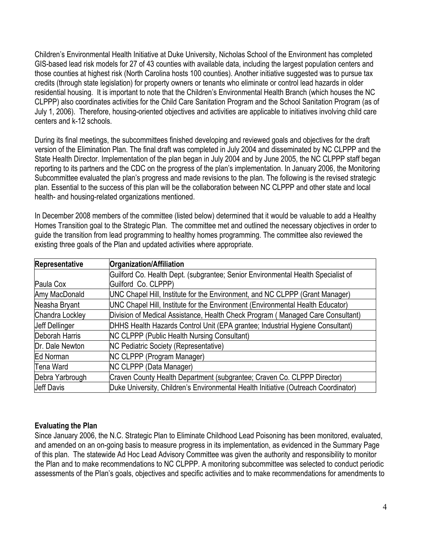Children's Environmental Health Initiative at Duke University, Nicholas School of the Environment has completed GIS-based lead risk models for 27 of 43 counties with available data, including the largest population centers and those counties at highest risk (North Carolina hosts 100 counties). Another initiative suggested was to pursue tax credits (through state legislation) for property owners or tenants who eliminate or control lead hazards in older residential housing. It is important to note that the Children's Environmental Health Branch (which houses the NC CLPPP) also coordinates activities for the Child Care Sanitation Program and the School Sanitation Program (as of July 1, 2006). Therefore, housing-oriented objectives and activities are applicable to initiatives involving child care centers and k-12 schools.

During its final meetings, the subcommittees finished developing and reviewed goals and objectives for the draft version of the Elimination Plan. The final draft was completed in July 2004 and disseminated by NC CLPPP and the State Health Director. Implementation of the plan began in July 2004 and by June 2005, the NC CLPPP staff began reporting to its partners and the CDC on the progress of the plan's implementation. In January 2006, the Monitoring Subcommittee evaluated the plan's progress and made revisions to the plan. The following is the revised strategic plan. Essential to the success of this plan will be the collaboration between NC CLPPP and other state and local health- and housing-related organizations mentioned.

In December 2008 members of the committee (listed below) determined that it would be valuable to add a Healthy Homes Transition goal to the Strategic Plan. The committee met and outlined the necessary objectives in order to guide the transition from lead programming to healthy homes programming. The committee also reviewed the existing three goals of the Plan and updated activities where appropriate.

| Representative    | <b>Organization/Affiliation</b>                                                    |
|-------------------|------------------------------------------------------------------------------------|
|                   | Guilford Co. Health Dept. (subgrantee; Senior Environmental Health Specialist of   |
| Paula Cox         | Guilford Co. CLPPP)                                                                |
| Amy MacDonald     | UNC Chapel Hill, Institute for the Environment, and NC CLPPP (Grant Manager)       |
| Neasha Bryant     | UNC Chapel Hill, Institute for the Environment (Environmental Health Educator)     |
| Chandra Lockley   | Division of Medical Assistance, Health Check Program (Managed Care Consultant)     |
| Jeff Dellinger    | DHHS Health Hazards Control Unit (EPA grantee; Industrial Hygiene Consultant)      |
| Deborah Harris    | <b>NC CLPPP (Public Health Nursing Consultant)</b>                                 |
| Dr. Dale Newton   | <b>NC Pediatric Society (Representative)</b>                                       |
| Ed Norman         | <b>NC CLPPP (Program Manager)</b>                                                  |
| <b>Tena Ward</b>  | NC CLPPP (Data Manager)                                                            |
| Debra Yarbrough   | Craven County Health Department (subgrantee; Craven Co. CLPPP Director)            |
| <b>Jeff Davis</b> | Duke University, Children's Environmental Health Initiative (Outreach Coordinator) |

# **Evaluating the Plan**

Since January 2006, the N.C. Strategic Plan to Eliminate Childhood Lead Poisoning has been monitored, evaluated, and amended on an on-going basis to measure progress in its implementation, as evidenced in the Summary Page of this plan. The statewide Ad Hoc Lead Advisory Committee was given the authority and responsibility to monitor the Plan and to make recommendations to NC CLPPP. A monitoring subcommittee was selected to conduct periodic assessments of the Plan's goals, objectives and specific activities and to make recommendations for amendments to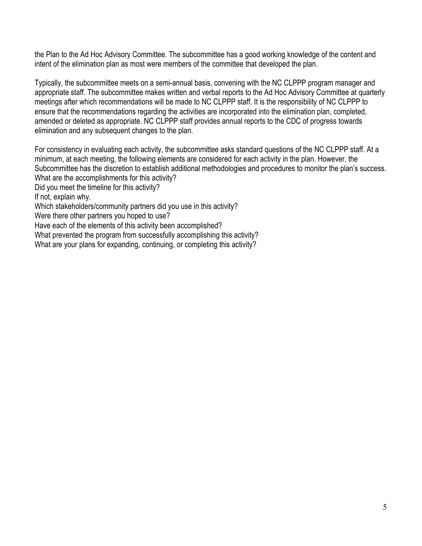the Plan to the Ad Hoc Advisory Committee. The subcommittee has a good working knowledge of the content and intent of the elimination plan as most were members of the committee that developed the plan.

Typically, the subcommittee meets on a semi-annual basis, convening with the NC CLPPP program manager and appropriate staff. The subcommittee makes written and verbal reports to the Ad Hoc Advisory Committee at quarterly meetings after which recommendations will be made to NC CLPPP staff. It is the responsibility of NC CLPPP to ensure that the recommendations regarding the activities are incorporated into the elimination plan, completed, amended or deleted as appropriate. NC CLPPP staff provides annual reports to the CDC of progress towards elimination and any subsequent changes to the plan.

For consistency in evaluating each activity, the subcommittee asks standard questions of the NC CLPPP staff. At a minimum, at each meeting, the following elements are considered for each activity in the plan. However, the Subcommittee has the discretion to establish additional methodologies and procedures to monitor the plan's success. What are the accomplishments for this activity?

Did you meet the timeline for this activity?

If not, explain why.

Which stakeholders/community partners did you use in this activity?

Were there other partners you hoped to use?

Have each of the elements of this activity been accomplished?

What prevented the program from successfully accomplishing this activity?

What are your plans for expanding, continuing, or completing this activity?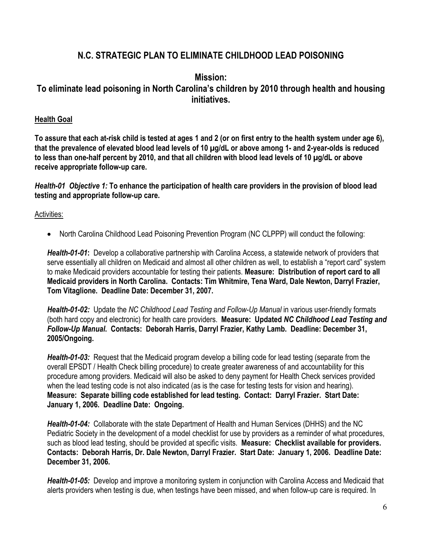# **N.C. STRATEGIC PLAN TO ELIMINATE CHILDHOOD LEAD POISONING**

# **Mission: To eliminate lead poisoning in North Carolina's children by 2010 through health and housing initiatives.**

# **Health Goal**

**To assure that each at-risk child is tested at ages 1 and 2 (or on first entry to the health system under age 6), that the prevalence of elevated blood lead levels of 10 µg/dL or above among 1- and 2-year-olds is reduced to less than one-half percent by 2010, and that all children with blood lead levels of 10 µg/dL or above receive appropriate follow-up care.** 

*Health-01**Objective 1:* **To enhance the participation of health care providers in the provision of blood lead testing and appropriate follow-up care.** 

Activities:

• North Carolina Childhood Lead Poisoning Prevention Program (NC CLPPP) will conduct the following:

*Health-01-01***:** Develop a collaborative partnership with Carolina Access, a statewide network of providers that serve essentially all children on Medicaid and almost all other children as well, to establish a "report card" system to make Medicaid providers accountable for testing their patients. **Measure: Distribution of report card to all Medicaid providers in North Carolina. Contacts: Tim Whitmire, Tena Ward, Dale Newton, Darryl Frazier, Tom Vitaglione. Deadline Date: December 31, 2007.** 

*Health-01-02:* Update the *NC Childhood Lead Testing and Follow-Up Manual* in various user-friendly formats (both hard copy and electronic) for health care providers. **Measure: Updated** *NC Childhood Lead Testing and Follow-Up Manual***. Contacts: Deborah Harris, Darryl Frazier, Kathy Lamb. Deadline: December 31, 2005/Ongoing.** 

*Health-01-03:* Request that the Medicaid program develop a billing code for lead testing (separate from the overall EPSDT / Health Check billing procedure) to create greater awareness of and accountability for this procedure among providers. Medicaid will also be asked to deny payment for Health Check services provided when the lead testing code is not also indicated (as is the case for testing tests for vision and hearing). **Measure: Separate billing code established for lead testing. Contact: Darryl Frazier. Start Date: January 1, 2006. Deadline Date: Ongoing.** 

*Health-01-04:* Collaborate with the state Department of Health and Human Services (DHHS) and the NC Pediatric Society in the development of a model checklist for use by providers as a reminder of what procedures, such as blood lead testing, should be provided at specific visits. **Measure: Checklist available for providers. Contacts: Deborah Harris, Dr. Dale Newton, Darryl Frazier. Start Date: January 1, 2006. Deadline Date: December 31, 2006.** 

*Health-01-05:* Develop and improve a monitoring system in conjunction with Carolina Access and Medicaid that alerts providers when testing is due, when testings have been missed, and when follow-up care is required. In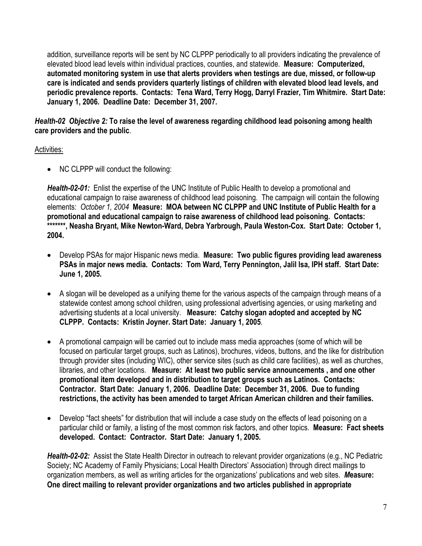addition, surveillance reports will be sent by NC CLPPP periodically to all providers indicating the prevalence of elevated blood lead levels within individual practices, counties, and statewide. **Measure: Computerized, automated monitoring system in use that alerts providers when testings are due, missed, or follow-up care is indicated and sends providers quarterly listings of children with elevated blood lead levels, and periodic prevalence reports. Contacts: Tena Ward, Terry Hogg, Darryl Frazier, Tim Whitmire. Start Date: January 1, 2006. Deadline Date: December 31, 2007.**

*Health-02 Objective 2:* **To raise the level of awareness regarding childhood lead poisoning among health care providers and the public**.

# Activities:

• NC CLPPP will conduct the following:

*Health-02-01:* Enlist the expertise of the UNC Institute of Public Health to develop a promotional and educational campaign to raise awareness of childhood lead poisoning. The campaign will contain the following elements: *October 1, 2004* **Measure: MOA between NC CLPPP and UNC Institute of Public Health for a promotional and educational campaign to raise awareness of childhood lead poisoning. Contacts: \*\*\*\*\*\*\*, Neasha Bryant, Mike Newton-Ward, Debra Yarbrough, Paula Weston-Cox. Start Date: October 1, 2004.** 

- Develop PSAs for major Hispanic news media. **Measure: Two public figures providing lead awareness PSAs in major news media. Contacts: Tom Ward, Terry Pennington, Jalil Isa, IPH staff. Start Date: June 1, 2005.**
- A slogan will be developed as a unifying theme for the various aspects of the campaign through means of a statewide contest among school children, using professional advertising agencies, or using marketing and advertising students at a local university. **Measure: Catchy slogan adopted and accepted by NC CLPPP. Contacts: Kristin Joyner. Start Date: January 1, 2005**.
- A promotional campaign will be carried out to include mass media approaches (some of which will be focused on particular target groups, such as Latinos), brochures, videos, buttons, and the like for distribution through provider sites (including WIC), other service sites (such as child care facilities), as well as churches, libraries, and other locations. **Measure: At least two public service announcements , and one other promotional item developed and in distribution to target groups such as Latinos. Contacts: Contractor. Start Date: January 1, 2006. Deadline Date: December 31, 2006. Due to funding restrictions, the activity has been amended to target African American children and their families.**
- Develop "fact sheets" for distribution that will include a case study on the effects of lead poisoning on a particular child or family, a listing of the most common risk factors, and other topics.**Measure: Fact sheets developed. Contact: Contractor. Start Date: January 1, 2005.**

*Health-02-02:* Assist the State Health Director in outreach to relevant provider organizations (e.g., NC Pediatric Society; NC Academy of Family Physicians; Local Health Directors' Association) through direct mailings to organization members, as well as writing articles for the organizations' publications and web sites. *M***easure: One direct mailing to relevant provider organizations and two articles published in appropriate**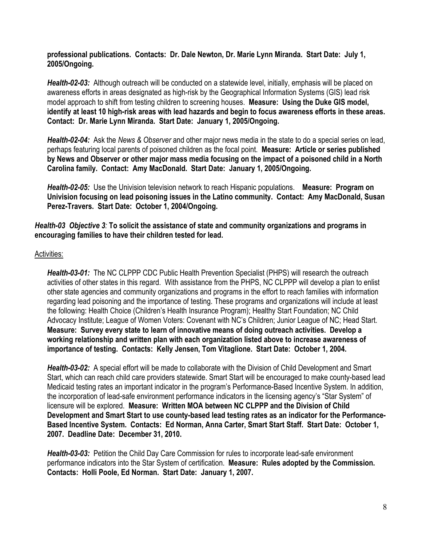**professional publications. Contacts: Dr. Dale Newton, Dr. Marie Lynn Miranda. Start Date: July 1, 2005/Ongoing.** 

*Health-02-03:* Although outreach will be conducted on a statewide level, initially, emphasis will be placed on awareness efforts in areas designated as high-risk by the Geographical Information Systems (GIS) lead risk model approach to shift from testing children to screening houses. **Measure: Using the Duke GIS model, identify at least 10 high-risk areas with lead hazards and begin to focus awareness efforts in these areas. Contact: Dr. Marie Lynn Miranda. Start Date: January 1, 2005/Ongoing.** 

*Health-02-04:* Ask the *News & Observer* and other major news media in the state to do a special series on lead, perhaps featuring local parents of poisoned children as the focal point. **Measure: Article or series published by News and Observer or other major mass media focusing on the impact of a poisoned child in a North Carolina family. Contact: Amy MacDonald. Start Date: January 1, 2005/Ongoing.** 

*Health-02-05:* Use the Univision television network to reach Hispanic populations. **Measure: Program on Univision focusing on lead poisoning issues in the Latino community. Contact: Amy MacDonald, Susan Perez-Travers. Start Date: October 1, 2004/Ongoing.** 

*Health-03 Objective 3:* **To solicit the assistance of state and community organizations and programs in encouraging families to have their children tested for lead.**

#### Activities:

*Health-03-01:* The NC CLPPP CDC Public Health Prevention Specialist (PHPS) will research the outreach activities of other states in this regard. With assistance from the PHPS, NC CLPPP will develop a plan to enlist other state agencies and community organizations and programs in the effort to reach families with information regarding lead poisoning and the importance of testing. These programs and organizations will include at least the following: Health Choice (Children's Health Insurance Program); Healthy Start Foundation; NC Child Advocacy Institute; League of Women Voters: Covenant with NC's Children; Junior League of NC; Head Start. **Measure: Survey every state to learn of innovative means of doing outreach activities. Develop a working relationship and written plan with each organization listed above to increase awareness of importance of testing. Contacts: Kelly Jensen, Tom Vitaglione. Start Date: October 1, 2004.** 

*Health-03-02:* A special effort will be made to collaborate with the Division of Child Development and Smart Start, which can reach child care providers statewide. Smart Start will be encouraged to make county-based lead Medicaid testing rates an important indicator in the program's Performance-Based Incentive System. In addition, the incorporation of lead-safe environment performance indicators in the licensing agency's "Star System" of licensure will be explored.**Measure: Written MOA between NC CLPPP and the Division of Child Development and Smart Start to use county-based lead testing rates as an indicator for the Performance-Based Incentive System. Contacts: Ed Norman, Anna Carter, Smart Start Staff. Start Date: October 1, 2007. Deadline Date: December 31, 2010.** 

*Health-03-03:* Petition the Child Day Care Commission for rules to incorporate lead-safe environment performance indicators into the Star System of certification. **Measure: Rules adopted by the Commission. Contacts: Holli Poole, Ed Norman. Start Date: January 1, 2007.**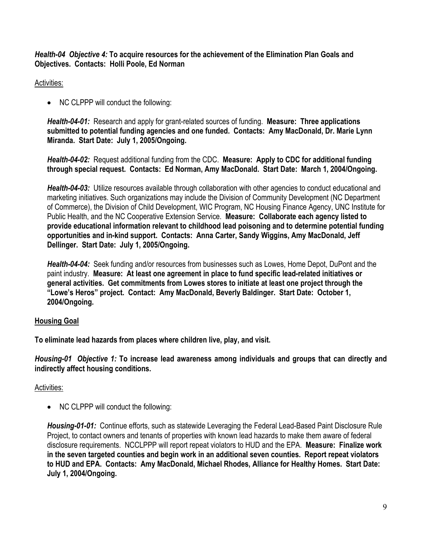*Health-04 Objective 4:* **To acquire resources for the achievement of the Elimination Plan Goals and Objectives. Contacts: Holli Poole, Ed Norman** 

Activities:

• NC CLPPP will conduct the following:

*Health-04-01:* Research and apply for grant-related sources of funding. **Measure: Three applications submitted to potential funding agencies and one funded. Contacts: Amy MacDonald, Dr. Marie Lynn Miranda. Start Date: July 1, 2005/Ongoing.** 

*Health-04-02:* Request additional funding from the CDC. **Measure: Apply to CDC for additional funding through special request. Contacts: Ed Norman, Amy MacDonald. Start Date: March 1, 2004/Ongoing.** 

*Health-04-03:* Utilize resources available through collaboration with other agencies to conduct educational and marketing initiatives. Such organizations may include the Division of Community Development (NC Department of Commerce), the Division of Child Development, WIC Program, NC Housing Finance Agency, UNC Institute for Public Health, and the NC Cooperative Extension Service. **Measure: Collaborate each agency listed to provide educational information relevant to childhood lead poisoning and to determine potential funding opportunities and in-kind support. Contacts: Anna Carter, Sandy Wiggins, Amy MacDonald, Jeff Dellinger. Start Date: July 1, 2005/Ongoing.** 

*Health-04-04:* Seek funding and/or resources from businesses such as Lowes, Home Depot, DuPont and the paint industry. **Measure: At least one agreement in place to fund specific lead-related initiatives or general activities. Get commitments from Lowes stores to initiate at least one project through the "Lowe's Heros" project. Contact: Amy MacDonald, Beverly Baldinger. Start Date: October 1, 2004/Ongoing.** 

# **Housing Goal**

**To eliminate lead hazards from places where children live, play, and visit.** 

*Housing-01 Objective 1:* **To increase lead awareness among individuals and groups that can directly and indirectly affect housing conditions.**

# Activities:

• NC CLPPP will conduct the following:

*Housing-01-01:* Continue efforts, such as statewide Leveraging the Federal Lead-Based Paint Disclosure Rule Project, to contact owners and tenants of properties with known lead hazards to make them aware of federal disclosure requirements. NCCLPPP will report repeat violators to HUD and the EPA. **Measure: Finalize work in the seven targeted counties and begin work in an additional seven counties. Report repeat violators to HUD and EPA. Contacts: Amy MacDonald, Michael Rhodes, Alliance for Healthy Homes. Start Date: July 1, 2004/Ongoing.**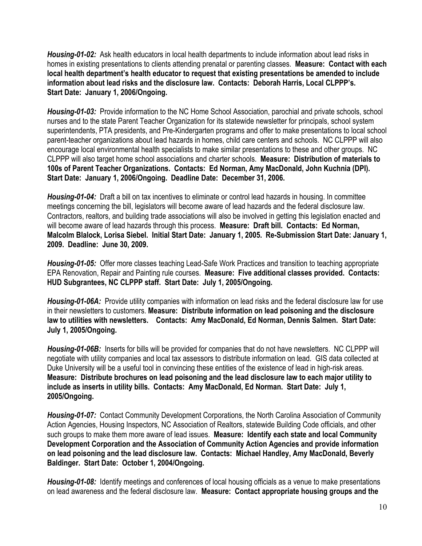*Housing-01-02:* Ask health educators in local health departments to include information about lead risks in homes in existing presentations to clients attending prenatal or parenting classes. **Measure: Contact with each local health department's health educator to request that existing presentations be amended to include information about lead risks and the disclosure law. Contacts: Deborah Harris, Local CLPPP's. Start Date: January 1, 2006/Ongoing.** 

*Housing-01-03:* Provide information to the NC Home School Association, parochial and private schools, school nurses and to the state Parent Teacher Organization for its statewide newsletter for principals, school system superintendents, PTA presidents, and Pre-Kindergarten programs and offer to make presentations to local school parent-teacher organizations about lead hazards in homes, child care centers and schools. NC CLPPP will also encourage local environmental health specialists to make similar presentations to these and other groups. NC CLPPP will also target home school associations and charter schools. **Measure: Distribution of materials to 100s of Parent Teacher Organizations. Contacts: Ed Norman, Amy MacDonald, John Kuchnia (DPI). Start Date: January 1, 2006/Ongoing. Deadline Date: December 31, 2006.** 

*Housing-01-04:* Draft a bill on tax incentives to eliminate or control lead hazards in housing. In committee meetings concerning the bill, legislators will become aware of lead hazards and the federal disclosure law. Contractors, realtors, and building trade associations will also be involved in getting this legislation enacted and will become aware of lead hazards through this process. **Measure: Draft bill. Contacts: Ed Norman, Malcolm Blalock, Lorisa Siebel. Initial Start Date: January 1, 2005. Re-Submission Start Date: January 1, 2009. Deadline: June 30, 2009.** 

*Housing-01-05:* Offer more classes teaching Lead-Safe Work Practices and transition to teaching appropriate EPA Renovation, Repair and Painting rule courses. **Measure: Five additional classes provided. Contacts: HUD Subgrantees, NC CLPPP staff. Start Date: July 1, 2005/Ongoing.** 

*Housing-01-06A:* Provide utility companies with information on lead risks and the federal disclosure law for use in their newsletters to customers. **Measure: Distribute information on lead poisoning and the disclosure law to utilities with newsletters. Contacts: Amy MacDonald, Ed Norman, Dennis Salmen. Start Date: July 1, 2005/Ongoing.** 

*Housing-01-06B:*Inserts for bills will be provided for companies that do not have newsletters. NC CLPPP will negotiate with utility companies and local tax assessors to distribute information on lead. GIS data collected at Duke University will be a useful tool in convincing these entities of the existence of lead in high-risk areas. **Measure: Distribute brochures on lead poisoning and the lead disclosure law to each major utility to include as inserts in utility bills. Contacts: Amy MacDonald, Ed Norman. Start Date: July 1, 2005/Ongoing.** 

*Housing-01-07:* Contact Community Development Corporations, the North Carolina Association of Community Action Agencies, Housing Inspectors, NC Association of Realtors, statewide Building Code officials, and other such groups to make them more aware of lead issues. **Measure: Identify each state and local Community Development Corporation and the Association of Community Action Agencies and provide information on lead poisoning and the lead disclosure law. Contacts: Michael Handley, Amy MacDonald, Beverly Baldinger. Start Date: October 1, 2004/Ongoing.** 

*Housing-01-08:* Identify meetings and conferences of local housing officials as a venue to make presentations on lead awareness and the federal disclosure law. **Measure: Contact appropriate housing groups and the**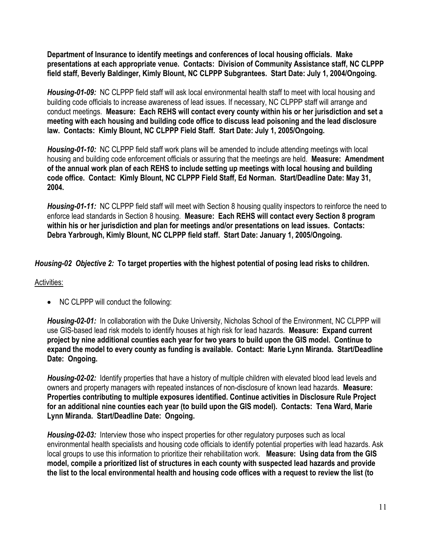**Department of Insurance to identify meetings and conferences of local housing officials. Make presentations at each appropriate venue. Contacts: Division of Community Assistance staff, NC CLPPP field staff, Beverly Baldinger, Kimly Blount, NC CLPPP Subgrantees. Start Date: July 1, 2004/Ongoing.** 

*Housing-01-09:* NC CLPPP field staff will ask local environmental health staff to meet with local housing and building code officials to increase awareness of lead issues. If necessary, NC CLPPP staff will arrange and conduct meetings. **Measure: Each REHS will contact every county within his or her jurisdiction and set a meeting with each housing and building code office to discuss lead poisoning and the lead disclosure law. Contacts: Kimly Blount, NC CLPPP Field Staff. Start Date: July 1, 2005/Ongoing.** 

*Housing-01-10:* NC CLPPP field staff work plans will be amended to include attending meetings with local housing and building code enforcement officials or assuring that the meetings are held. **Measure: Amendment of the annual work plan of each REHS to include setting up meetings with local housing and building code office. Contact: Kimly Blount, NC CLPPP Field Staff, Ed Norman. Start/Deadline Date: May 31, 2004.** 

*Housing-01-11:* NC CLPPP field staff will meet with Section 8 housing quality inspectors to reinforce the need to enforce lead standards in Section 8 housing. **Measure: Each REHS will contact every Section 8 program within his or her jurisdiction and plan for meetings and/or presentations on lead issues. Contacts: Debra Yarbrough, Kimly Blount, NC CLPPP field staff. Start Date: January 1, 2005/Ongoing.** 

*Housing-02 Objective 2:* **To target properties with the highest potential of posing lead risks to children.** 

# Activities:

• NC CLPPP will conduct the following:

*Housing-02-01:* In collaboration with the Duke University, Nicholas School of the Environment, NC CLPPP will use GIS-based lead risk models to identify houses at high risk for lead hazards. **Measure: Expand current project by nine additional counties each year for two years to build upon the GIS model. Continue to expand the model to every county as funding is available. Contact: Marie Lynn Miranda. Start/Deadline Date: Ongoing.** 

*Housing-02-02:* Identify properties that have a history of multiple children with elevated blood lead levels and owners and property managers with repeated instances of non-disclosure of known lead hazards. **Measure: Properties contributing to multiple exposures identified. Continue activities in Disclosure Rule Project for an additional nine counties each year (to build upon the GIS model). Contacts: Tena Ward, Marie Lynn Miranda. Start/Deadline Date: Ongoing.** 

*Housing-02-03:* Interview those who inspect properties for other regulatory purposes such as local environmental health specialists and housing code officials to identify potential properties with lead hazards. Ask local groups to use this information to prioritize their rehabilitation work. **Measure: Using data from the GIS model, compile a prioritized list of structures in each county with suspected lead hazards and provide the list to the local environmental health and housing code offices with a request to review the list (to**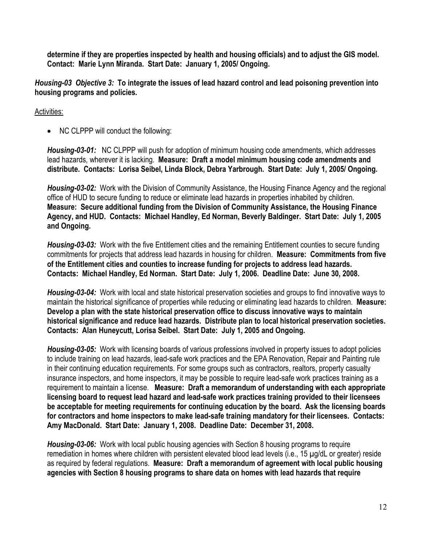**determine if they are properties inspected by health and housing officials) and to adjust the GIS model. Contact: Marie Lynn Miranda. Start Date: January 1, 2005/ Ongoing.** 

*Housing-03 Objective 3:* **To integrate the issues of lead hazard control and lead poisoning prevention into housing programs and policies.** 

#### Activities:

• NC CLPPP will conduct the following:

*Housing-03-01:* NC CLPPP will push for adoption of minimum housing code amendments, which addresses lead hazards, wherever it is lacking. **Measure: Draft a model minimum housing code amendments and distribute. Contacts: Lorisa Seibel, Linda Block, Debra Yarbrough. Start Date: July 1, 2005/ Ongoing.** 

*Housing-03-02:* Work with the Division of Community Assistance, the Housing Finance Agency and the regional office of HUD to secure funding to reduce or eliminate lead hazards in properties inhabited by children. **Measure: Secure additional funding from the Division of Community Assistance, the Housing Finance Agency, and HUD. Contacts: Michael Handley, Ed Norman, Beverly Baldinger. Start Date: July 1, 2005 and Ongoing.** 

*Housing-03-03:* Work with the five Entitlement cities and the remaining Entitlement counties to secure funding commitments for projects that address lead hazards in housing for children. **Measure: Commitments from five of the Entitlement cities and counties to increase funding for projects to address lead hazards. Contacts: Michael Handley, Ed Norman. Start Date: July 1, 2006. Deadline Date: June 30, 2008.** 

*Housing-03-04:* Work with local and state historical preservation societies and groups to find innovative ways to maintain the historical significance of properties while reducing or eliminating lead hazards to children. **Measure: Develop a plan with the state historical preservation office to discuss innovative ways to maintain historical significance and reduce lead hazards. Distribute plan to local historical preservation societies. Contacts: Alan Huneycutt, Lorisa Seibel. Start Date: July 1, 2005 and Ongoing.** 

*Housing-03-05:* Work with licensing boards of various professions involved in property issues to adopt policies to include training on lead hazards, lead-safe work practices and the EPA Renovation, Repair and Painting rule in their continuing education requirements. For some groups such as contractors, realtors, property casualty insurance inspectors, and home inspectors, it may be possible to require lead-safe work practices training as a requirement to maintain a license. **Measure: Draft a memorandum of understanding with each appropriate licensing board to request lead hazard and lead-safe work practices training provided to their licensees be acceptable for meeting requirements for continuing education by the board. Ask the licensing boards for contractors and home inspectors to make lead-safe training mandatory for their licensees. Contacts: Amy MacDonald. Start Date: January 1, 2008. Deadline Date: December 31, 2008.** 

*Housing-03-06:* Work with local public housing agencies with Section 8 housing programs to require remediation in homes where children with persistent elevated blood lead levels (i.e., 15 µg/dL or greater) reside as required by federal regulations. **Measure: Draft a memorandum of agreement with local public housing agencies with Section 8 housing programs to share data on homes with lead hazards that require**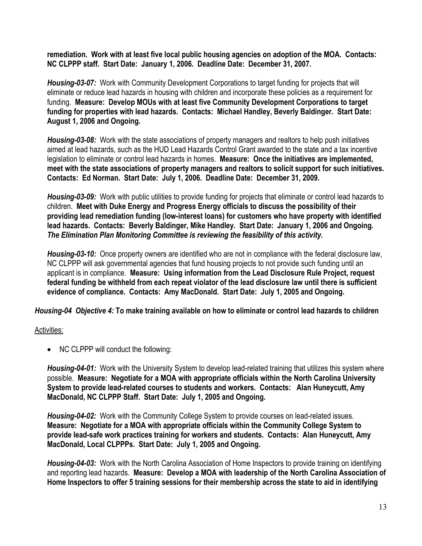**remediation. Work with at least five local public housing agencies on adoption of the MOA. Contacts: NC CLPPP staff. Start Date: January 1, 2006. Deadline Date: December 31, 2007.** 

*Housing-03-07:* Work with Community Development Corporations to target funding for projects that will eliminate or reduce lead hazards in housing with children and incorporate these policies as a requirement for funding. **Measure: Develop MOUs with at least five Community Development Corporations to target funding for properties with lead hazards. Contacts: Michael Handley, Beverly Baldinger. Start Date: August 1, 2006 and Ongoing.** 

*Housing-03-08:* Work with the state associations of property managers and realtors to help push initiatives aimed at lead hazards, such as the HUD Lead Hazards Control Grant awarded to the state and a tax incentive legislation to eliminate or control lead hazards in homes. **Measure: Once the initiatives are implemented, meet with the state associations of property managers and realtors to solicit support for such initiatives. Contacts: Ed Norman. Start Date: July 1, 2006. Deadline Date: December 31, 2009.** 

*Housing-03-09:* Work with public utilities to provide funding for projects that eliminate or control lead hazards to children. **Meet with Duke Energy and Progress Energy officials to discuss the possibility of their providing lead remediation funding (low-interest loans) for customers who have property with identified lead hazards. Contacts: Beverly Baldinger, Mike Handley. Start Date: January 1, 2006 and Ongoing.**  *The Elimination Plan Monitoring Committee is reviewing the feasibility of this activity.* 

*Housing-03-10:* Once property owners are identified who are not in compliance with the federal disclosure law, NC CLPPP will ask governmental agencies that fund housing projects to not provide such funding until an applicant is in compliance. **Measure: Using information from the Lead Disclosure Rule Project, request federal funding be withheld from each repeat violator of the lead disclosure law until there is sufficient evidence of compliance. Contacts: Amy MacDonald. Start Date: July 1, 2005 and Ongoing.** 

*Housing-04 Objective 4:* **To make training available on how to eliminate or control lead hazards to children**

# Activities:

• NC CLPPP will conduct the following:

*Housing-04-01:* Work with the University System to develop lead-related training that utilizes this system where possible. **Measure: Negotiate for a MOA with appropriate officials within the North Carolina University System to provide lead-related courses to students and workers. Contacts: Alan Huneycutt, Amy MacDonald, NC CLPPP Staff. Start Date: July 1, 2005 and Ongoing.** 

*Housing-04-02:* Work with the Community College System to provide courses on lead-related issues. **Measure: Negotiate for a MOA with appropriate officials within the Community College System to provide lead-safe work practices training for workers and students. Contacts: Alan Huneycutt, Amy MacDonald, Local CLPPPs. Start Date: July 1, 2005 and Ongoing.** 

*Housing-04-03:* Work with the North Carolina Association of Home Inspectors to provide training on identifying and reporting lead hazards. **Measure: Develop a MOA with leadership of the North Carolina Association of Home Inspectors to offer 5 training sessions for their membership across the state to aid in identifying**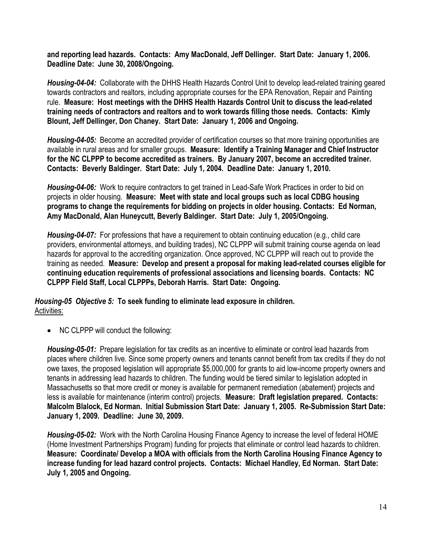**and reporting lead hazards. Contacts: Amy MacDonald, Jeff Dellinger. Start Date: January 1, 2006. Deadline Date: June 30, 2008/Ongoing.** 

*Housing-04-04:* Collaborate with the DHHS Health Hazards Control Unit to develop lead-related training geared towards contractors and realtors, including appropriate courses for the EPA Renovation, Repair and Painting rule. **Measure: Host meetings with the DHHS Health Hazards Control Unit to discuss the lead-related training needs of contractors and realtors and to work towards filling those needs. Contacts: Kimly Blount, Jeff Dellinger, Don Chaney. Start Date: January 1, 2006 and Ongoing.** 

*Housing-04-05:* Become an accredited provider of certification courses so that more training opportunities are available in rural areas and for smaller groups. **Measure: Identify a Training Manager and Chief Instructor for the NC CLPPP to become accredited as trainers. By January 2007, become an accredited trainer. Contacts: Beverly Baldinger. Start Date: July 1, 2004. Deadline Date: January 1, 2010.** 

*Housing-04-06:* Work to require contractors to get trained in Lead-Safe Work Practices in order to bid on projects in older housing. **Measure: Meet with state and local groups such as local CDBG housing programs to change the requirements for bidding on projects in older housing. Contacts: Ed Norman, Amy MacDonald, Alan Huneycutt, Beverly Baldinger. Start Date: July 1, 2005/Ongoing.** 

*Housing-04-07:* For professions that have a requirement to obtain continuing education (e.g., child care providers, environmental attorneys, and building trades), NC CLPPP will submit training course agenda on lead hazards for approval to the accrediting organization. Once approved, NC CLPPP will reach out to provide the training as needed. **Measure: Develop and present a proposal for making lead-related courses eligible for continuing education requirements of professional associations and licensing boards. Contacts: NC CLPPP Field Staff, Local CLPPPs, Deborah Harris. Start Date: Ongoing.** 

*Housing-05 Objective 5:* **To seek funding to eliminate lead exposure in children.**  Activities:

• NC CLPPP will conduct the following:

*Housing-05-01:* Prepare legislation for tax credits as an incentive to eliminate or control lead hazards from places where children live. Since some property owners and tenants cannot benefit from tax credits if they do not owe taxes, the proposed legislation will appropriate \$5,000,000 for grants to aid low-income property owners and tenants in addressing lead hazards to children. The funding would be tiered similar to legislation adopted in Massachusetts so that more credit or money is available for permanent remediation (abatement) projects and less is available for maintenance (interim control) projects. **Measure: Draft legislation prepared. Contacts: Malcolm Blalock, Ed Norman. Initial Submission Start Date: January 1, 2005. Re-Submission Start Date: January 1, 2009. Deadline: June 30, 2009.** 

*Housing-05-02:* Work with the North Carolina Housing Finance Agency to increase the level of federal HOME (Home Investment Partnerships Program) funding for projects that eliminate or control lead hazards to children. **Measure: Coordinate/ Develop a MOA with officials from the North Carolina Housing Finance Agency to increase funding for lead hazard control projects. Contacts: Michael Handley, Ed Norman. Start Date: July 1, 2005 and Ongoing.**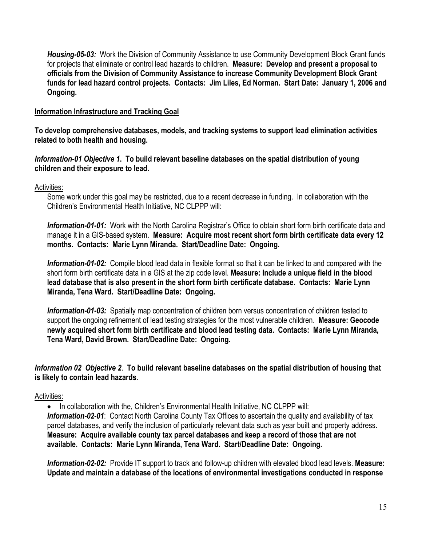*Housing-05-03:* Work the Division of Community Assistance to use Community Development Block Grant funds for projects that eliminate or control lead hazards to children. **Measure: Develop and present a proposal to officials from the Division of Community Assistance to increase Community Development Block Grant funds for lead hazard control projects. Contacts: Jim Liles, Ed Norman. Start Date: January 1, 2006 and Ongoing.**

#### **Information Infrastructure and Tracking Goal**

**To develop comprehensive databases, models, and tracking systems to support lead elimination activities related to both health and housing.** 

*Information-01 Objective 1***. To build relevant baseline databases on the spatial distribution of young children and their exposure to lead.** 

Activities:

Some work under this goal may be restricted, due to a recent decrease in funding. In collaboration with the Children's Environmental Health Initiative, NC CLPPP will:

*Information-01-01:*Work with the North Carolina Registrar's Office to obtain short form birth certificate data and manage it in a GIS-based system. **Measure: Acquire most recent short form birth certificate data every 12 months. Contacts: Marie Lynn Miranda. Start/Deadline Date: Ongoing.** 

*Information-01-02:*Compile blood lead data in flexible format so that it can be linked to and compared with the short form birth certificate data in a GIS at the zip code level. **Measure: Include a unique field in the blood lead database that is also present in the short form birth certificate database. Contacts: Marie Lynn Miranda, Tena Ward. Start/Deadline Date: Ongoing.**

**Information-01-03:** Spatially map concentration of children born versus concentration of children tested to support the ongoing refinement of lead testing strategies for the most vulnerable children. **Measure: Geocode newly acquired short form birth certificate and blood lead testing data. Contacts: Marie Lynn Miranda, Tena Ward, David Brown. Start/Deadline Date: Ongoing.**

*Information 02 Objective 2*. **To build relevant baseline databases on the spatial distribution of housing that is likely to contain lead hazards**.

#### Activities:

• In collaboration with the, Children's Environmental Health Initiative, NC CLPPP will: *Information-02-01*: Contact North Carolina County Tax Offices to ascertain the quality and availability of tax parcel databases, and verify the inclusion of particularly relevant data such as year built and property address. **Measure: Acquire available county tax parcel databases and keep a record of those that are not available. Contacts: Marie Lynn Miranda, Tena Ward. Start/Deadline Date: Ongoing.** 

*Information-02-02:*Provide IT support to track and follow-up children with elevated blood lead levels. **Measure: Update and maintain a database of the locations of environmental investigations conducted in response**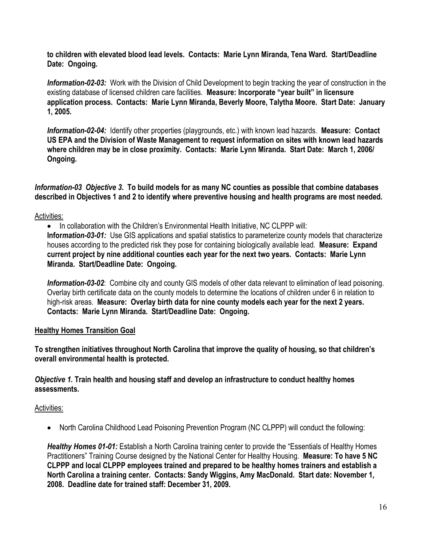**to children with elevated blood lead levels. Contacts: Marie Lynn Miranda, Tena Ward. Start/Deadline Date: Ongoing.**

*Information-02-03:*Work with the Division of Child Development to begin tracking the year of construction in the existing database of licensed children care facilities. **Measure: Incorporate "year built" in licensure application process. Contacts: Marie Lynn Miranda, Beverly Moore, Talytha Moore. Start Date: January 1, 2005.** 

*Information-02-04:* Identify other properties (playgrounds, etc.) with known lead hazards. **Measure: Contact US EPA and the Division of Waste Management to request information on sites with known lead hazards where children may be in close proximity. Contacts: Marie Lynn Miranda. Start Date: March 1, 2006/ Ongoing.** 

*Information-03 Objective 3***. To build models for as many NC counties as possible that combine databases described in Objectives 1 and 2 to identify where preventive housing and health programs are most needed.**

# Activities:

• In collaboration with the Children's Environmental Health Initiative, NC CLPPP will: **Infor***mation-03-01:* Use GIS applications and spatial statistics to parameterize county models that characterize houses according to the predicted risk they pose for containing biologically available lead. **Measure: Expand current project by nine additional counties each year for the next two years. Contacts: Marie Lynn Miranda. Start/Deadline Date: Ongoing.** 

*Information-03-02*: Combine city and county GIS models of other data relevant to elimination of lead poisoning. Overlay birth certificate data on the county models to determine the locations of children under 6 in relation to high-risk areas. **Measure: Overlay birth data for nine county models each year for the next 2 years. Contacts: Marie Lynn Miranda. Start/Deadline Date: Ongoing.** 

# **Healthy Homes Transition Goal**

**To strengthen initiatives throughout North Carolina that improve the quality of housing, so that children's overall environmental health is protected.** 

# *Objective 1.* **Train health and housing staff and develop an infrastructure to conduct healthy homes assessments.**

# Activities:

• North Carolina Childhood Lead Poisoning Prevention Program (NC CLPPP) will conduct the following:

*Healthy Homes 01-01:* Establish a North Carolina training center to provide the "Essentials of Healthy Homes Practitioners" Training Course designed by the National Center for Healthy Housing. **Measure: To have 5 NC CLPPP and local CLPPP employees trained and prepared to be healthy homes trainers and establish a North Carolina a training center. Contacts: Sandy Wiggins, Amy MacDonald. Start date: November 1, 2008. Deadline date for trained staff: December 31, 2009.**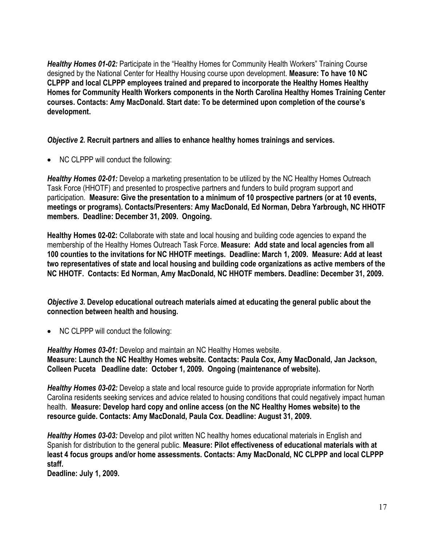**Healthy Homes 01-02:** Participate in the "Healthy Homes for Community Health Workers" Training Course designed by the National Center for Healthy Housing course upon development. **Measure: To have 10 NC CLPPP and local CLPPP employees trained and prepared to incorporate the Healthy Homes Healthy Homes for Community Health Workers components in the North Carolina Healthy Homes Training Center courses. Contacts: Amy MacDonald. Start date: To be determined upon completion of the course's development.**

*Objective 2.* **Recruit partners and allies to enhance healthy homes trainings and services.** 

• NC CLPPP will conduct the following:

*Healthy Homes 02-01:* Develop a marketing presentation to be utilized by the NC Healthy Homes Outreach Task Force (HHOTF) and presented to prospective partners and funders to build program support and participation. **Measure: Give the presentation to a minimum of 10 prospective partners (or at 10 events, meetings or programs). Contacts/Presenters: Amy MacDonald, Ed Norman, Debra Yarbrough, NC HHOTF members. Deadline: December 31, 2009. Ongoing.** 

**Healthy Homes 02-02:** Collaborate with state and local housing and building code agencies to expand the membership of the Healthy Homes Outreach Task Force. **Measure: Add state and local agencies from all 100 counties to the invitations for NC HHOTF meetings. Deadline: March 1, 2009. Measure: Add at least two representatives of state and local housing and building code organizations as active members of the NC HHOTF. Contacts: Ed Norman, Amy MacDonald, NC HHOTF members. Deadline: December 31, 2009.** 

*Objective 3.* **Develop educational outreach materials aimed at educating the general public about the connection between health and housing.** 

• NC CLPPP will conduct the following:

*Healthy Homes 03-01:* Develop and maintain an NC Healthy Homes website. **Measure: Launch the NC Healthy Homes website. Contacts: Paula Cox, Amy MacDonald, Jan Jackson, Colleen Puceta Deadline date: October 1, 2009. Ongoing (maintenance of website).** 

*Healthy Homes 03-02:* Develop a state and local resource guide to provide appropriate information for North Carolina residents seeking services and advice related to housing conditions that could negatively impact human health. **Measure: Develop hard copy and online access (on the NC Healthy Homes website) to the resource guide. Contacts: Amy MacDonald, Paula Cox. Deadline: August 31, 2009.**

*Healthy Homes 03-03:* Develop and pilot written NC healthy homes educational materials in English and Spanish for distribution to the general public. **Measure: Pilot effectiveness of educational materials with at least 4 focus groups and/or home assessments. Contacts: Amy MacDonald, NC CLPPP and local CLPPP staff.**

**Deadline: July 1, 2009.**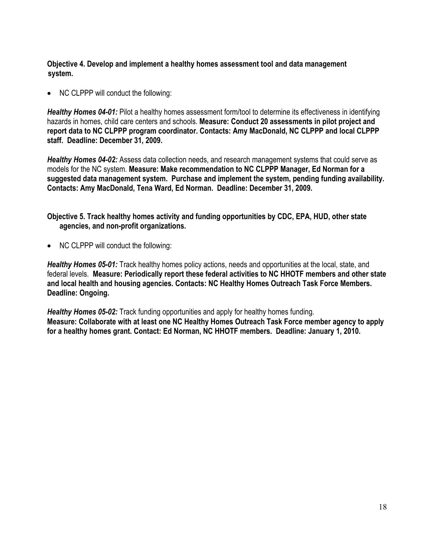**Objective 4. Develop and implement a healthy homes assessment tool and data management system.** 

• NC CLPPP will conduct the following:

*Healthy Homes 04-01:* Pilot a healthy homes assessment form/tool to determine its effectiveness in identifying hazards in homes, child care centers and schools. **Measure: Conduct 20 assessments in pilot project and report data to NC CLPPP program coordinator. Contacts: Amy MacDonald, NC CLPPP and local CLPPP staff. Deadline: December 31, 2009.**

*Healthy Homes 04-02:* Assess data collection needs, and research management systems that could serve as models for the NC system. **Measure: Make recommendation to NC CLPPP Manager, Ed Norman for a suggested data management system. Purchase and implement the system, pending funding availability. Contacts: Amy MacDonald, Tena Ward, Ed Norman. Deadline: December 31, 2009.** 

**Objective 5. Track healthy homes activity and funding opportunities by CDC, EPA, HUD, other state agencies, and non-profit organizations.** 

• NC CLPPP will conduct the following:

*Healthy Homes 05-01:* Track healthy homes policy actions, needs and opportunities at the local, state, and federal levels. **Measure: Periodically report these federal activities to NC HHOTF members and other state and local health and housing agencies. Contacts: NC Healthy Homes Outreach Task Force Members. Deadline: Ongoing.** 

*Healthy Homes 05-02:* Track funding opportunities and apply for healthy homes funding. **Measure: Collaborate with at least one NC Healthy Homes Outreach Task Force member agency to apply for a healthy homes grant. Contact: Ed Norman, NC HHOTF members. Deadline: January 1, 2010.**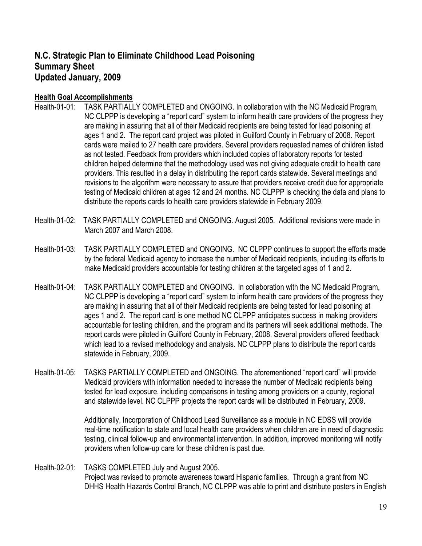# **N.C. Strategic Plan to Eliminate Childhood Lead Poisoning Summary Sheet Updated January, 2009**

# **Health Goal Accomplishments**

- Health-01-01: TASK PARTIALLY COMPLETED and ONGOING. In collaboration with the NC Medicaid Program, NC CLPPP is developing a "report card" system to inform health care providers of the progress they are making in assuring that all of their Medicaid recipients are being tested for lead poisoning at ages 1 and 2. The report card project was piloted in Guilford County in February of 2008. Report cards were mailed to 27 health care providers. Several providers requested names of children listed as not tested. Feedback from providers which included copies of laboratory reports for tested children helped determine that the methodology used was not giving adequate credit to health care providers. This resulted in a delay in distributing the report cards statewide. Several meetings and revisions to the algorithm were necessary to assure that providers receive credit due for appropriate testing of Medicaid children at ages 12 and 24 months. NC CLPPP is checking the data and plans to distribute the reports cards to health care providers statewide in February 2009.
- Health-01-02: TASK PARTIALLY COMPLETED and ONGOING. August 2005. Additional revisions were made in March 2007 and March 2008.
- Health-01-03: TASK PARTIALLY COMPLETED and ONGOING. NC CLPPP continues to support the efforts made by the federal Medicaid agency to increase the number of Medicaid recipients, including its efforts to make Medicaid providers accountable for testing children at the targeted ages of 1 and 2.
- Health-01-04: TASK PARTIALLY COMPLETED and ONGOING. In collaboration with the NC Medicaid Program, NC CLPPP is developing a "report card" system to inform health care providers of the progress they are making in assuring that all of their Medicaid recipients are being tested for lead poisoning at ages 1 and 2. The report card is one method NC CLPPP anticipates success in making providers accountable for testing children, and the program and its partners will seek additional methods. The report cards were piloted in Guilford County in February, 2008. Several providers offered feedback which lead to a revised methodology and analysis. NC CLPPP plans to distribute the report cards statewide in February, 2009.
- Health-01-05: TASKS PARTIALLY COMPLETED and ONGOING. The aforementioned "report card" will provide Medicaid providers with information needed to increase the number of Medicaid recipients being tested for lead exposure, including comparisons in testing among providers on a county, regional and statewide level. NC CLPPP projects the report cards will be distributed in February, 2009.

Additionally, Incorporation of Childhood Lead Surveillance as a module in NC EDSS will provide real-time notification to state and local health care providers when children are in need of diagnostic testing, clinical follow-up and environmental intervention. In addition, improved monitoring will notify providers when follow-up care for these children is past due.

Health-02-01: TASKS COMPLETED July and August 2005. Project was revised to promote awareness toward Hispanic families. Through a grant from NC DHHS Health Hazards Control Branch, NC CLPPP was able to print and distribute posters in English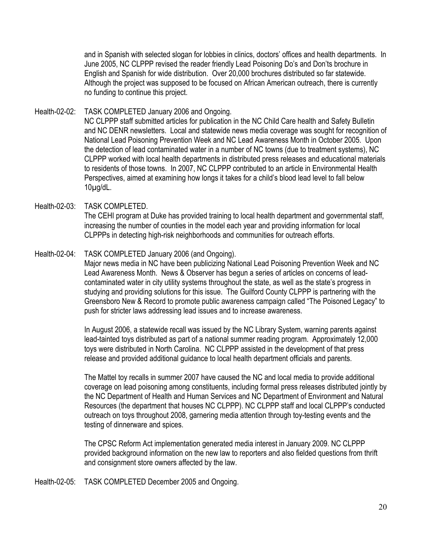and in Spanish with selected slogan for lobbies in clinics, doctors' offices and health departments. In June 2005, NC CLPPP revised the reader friendly Lead Poisoning Do's and Don'ts brochure in English and Spanish for wide distribution. Over 20,000 brochures distributed so far statewide. Although the project was supposed to be focused on African American outreach, there is currently no funding to continue this project.

- Health-02-02: TASK COMPLETED January 2006 and Ongoing. NC CLPPP staff submitted articles for publication in the NC Child Care health and Safety Bulletin and NC DENR newsletters. Local and statewide news media coverage was sought for recognition of National Lead Poisoning Prevention Week and NC Lead Awareness Month in October 2005. Upon the detection of lead contaminated water in a number of NC towns (due to treatment systems), NC CLPPP worked with local health departments in distributed press releases and educational materials to residents of those towns. In 2007, NC CLPPP contributed to an article in Environmental Health Perspectives, aimed at examining how longs it takes for a child's blood lead level to fall below 10µg/dL.
- Health-02-03: TASK COMPLETED. The CEHI program at Duke has provided training to local health department and governmental staff, increasing the number of counties in the model each year and providing information for local CLPPPs in detecting high-risk neighborhoods and communities for outreach efforts.
- Health-02-04: TASK COMPLETED January 2006 (and Ongoing).

Major news media in NC have been publicizing National Lead Poisoning Prevention Week and NC Lead Awareness Month. News & Observer has begun a series of articles on concerns of leadcontaminated water in city utility systems throughout the state, as well as the state's progress in studying and providing solutions for this issue. The Guilford County CLPPP is partnering with the Greensboro New & Record to promote public awareness campaign called "The Poisoned Legacy" to push for stricter laws addressing lead issues and to increase awareness.

In August 2006, a statewide recall was issued by the NC Library System, warning parents against lead-tainted toys distributed as part of a national summer reading program. Approximately 12,000 toys were distributed in North Carolina. NC CLPPP assisted in the development of that press release and provided additional guidance to local health department officials and parents.

The Mattel toy recalls in summer 2007 have caused the NC and local media to provide additional coverage on lead poisoning among constituents, including formal press releases distributed jointly by the NC Department of Health and Human Services and NC Department of Environment and Natural Resources (the department that houses NC CLPPP). NC CLPPP staff and local CLPPP's conducted outreach on toys throughout 2008, garnering media attention through toy-testing events and the testing of dinnerware and spices.

The CPSC Reform Act implementation generated media interest in January 2009. NC CLPPP provided background information on the new law to reporters and also fielded questions from thrift and consignment store owners affected by the law.

Health-02-05: TASK COMPLETED December 2005 and Ongoing.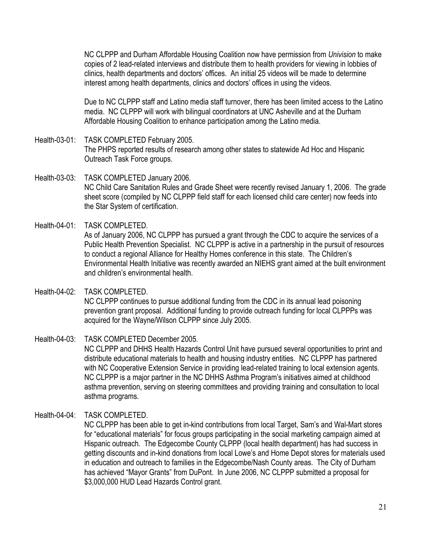NC CLPPP and Durham Affordable Housing Coalition now have permission from *Univision* to make copies of 2 lead-related interviews and distribute them to health providers for viewing in lobbies of clinics, health departments and doctors' offices. An initial 25 videos will be made to determine interest among health departments, clinics and doctors' offices in using the videos.

Due to NC CLPPP staff and Latino media staff turnover, there has been limited access to the Latino media. NC CLPPP will work with bilingual coordinators at UNC Asheville and at the Durham Affordable Housing Coalition to enhance participation among the Latino media.

- Health-03-01: TASK COMPLETED February 2005. The PHPS reported results of research among other states to statewide Ad Hoc and Hispanic Outreach Task Force groups.
- Health-03-03: TASK COMPLETED January 2006. NC Child Care Sanitation Rules and Grade Sheet were recently revised January 1, 2006. The grade sheet score (compiled by NC CLPPP field staff for each licensed child care center) now feeds into the Star System of certification.
- Health-04-01: TASK COMPLETED As of January 2006, NC CLPPP has pursued a grant through the CDC to acquire the services of a Public Health Prevention Specialist. NC CLPPP is active in a partnership in the pursuit of resources to conduct a regional Alliance for Healthy Homes conference in this state. The Children's Environmental Health Initiative was recently awarded an NIEHS grant aimed at the built environment and children's environmental health.
- Health-04-02: TASK COMPLETED. NC CLPPP continues to pursue additional funding from the CDC in its annual lead poisoning prevention grant proposal. Additional funding to provide outreach funding for local CLPPPs was acquired for the Wayne/Wilson CLPPP since July 2005.
- Health-04-03: TASK COMPLETED December 2005. NC CLPPP and DHHS Health Hazards Control Unit have pursued several opportunities to print and distribute educational materials to health and housing industry entities. NC CLPPP has partnered with NC Cooperative Extension Service in providing lead-related training to local extension agents. NC CLPPP is a major partner in the NC DHHS Asthma Program's initiatives aimed at childhood asthma prevention, serving on steering committees and providing training and consultation to local asthma programs.
- Health-04-04: TASK COMPLETED.

NC CLPPP has been able to get in-kind contributions from local Target, Sam's and Wal-Mart stores for "educational materials" for focus groups participating in the social marketing campaign aimed at Hispanic outreach. The Edgecombe County CLPPP (local health department) has had success in getting discounts and in-kind donations from local Lowe's and Home Depot stores for materials used in education and outreach to families in the Edgecombe/Nash County areas. The City of Durham has achieved "Mayor Grants" from DuPont. In June 2006, NC CLPPP submitted a proposal for \$3,000,000 HUD Lead Hazards Control grant.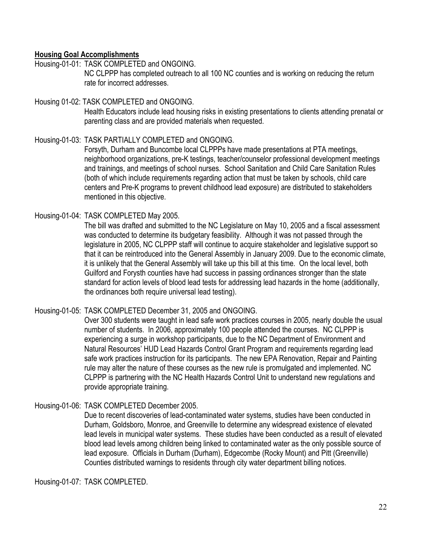# **Housing Goal Accomplishments**

Housing-01-01: TASK COMPLETED and ONGOING.

NC CLPPP has completed outreach to all 100 NC counties and is working on reducing the return rate for incorrect addresses.

#### Housing 01-02: TASK COMPLETED and ONGOING.

Health Educators include lead housing risks in existing presentations to clients attending prenatal or parenting class and are provided materials when requested.

# Housing-01-03: TASK PARTIALLY COMPLETED and ONGOING.

Forsyth, Durham and Buncombe local CLPPPs have made presentations at PTA meetings, neighborhood organizations, pre-K testings, teacher/counselor professional development meetings and trainings, and meetings of school nurses. School Sanitation and Child Care Sanitation Rules (both of which include requirements regarding action that must be taken by schools, child care centers and Pre-K programs to prevent childhood lead exposure) are distributed to stakeholders mentioned in this objective.

# Housing-01-04: TASK COMPLETED May 2005.

The bill was drafted and submitted to the NC Legislature on May 10, 2005 and a fiscal assessment was conducted to determine its budgetary feasibility. Although it was not passed through the legislature in 2005, NC CLPPP staff will continue to acquire stakeholder and legislative support so that it can be reintroduced into the General Assembly in January 2009. Due to the economic climate, it is unlikely that the General Assembly will take up this bill at this time. On the local level, both Guilford and Forysth counties have had success in passing ordinances stronger than the state standard for action levels of blood lead tests for addressing lead hazards in the home (additionally, the ordinances both require universal lead testing).

# Housing-01-05: TASK COMPLETED December 31, 2005 and ONGOING.

Over 300 students were taught in lead safe work practices courses in 2005, nearly double the usual number of students. In 2006, approximately 100 people attended the courses. NC CLPPP is experiencing a surge in workshop participants, due to the NC Department of Environment and Natural Resources' HUD Lead Hazards Control Grant Program and requirements regarding lead safe work practices instruction for its participants. The new EPA Renovation, Repair and Painting rule may alter the nature of these courses as the new rule is promulgated and implemented. NC CLPPP is partnering with the NC Health Hazards Control Unit to understand new regulations and provide appropriate training.

# Housing-01-06: TASK COMPLETED December 2005.

Due to recent discoveries of lead-contaminated water systems, studies have been conducted in Durham, Goldsboro, Monroe, and Greenville to determine any widespread existence of elevated lead levels in municipal water systems. These studies have been conducted as a result of elevated blood lead levels among children being linked to contaminated water as the only possible source of lead exposure. Officials in Durham (Durham), Edgecombe (Rocky Mount) and Pitt (Greenville) Counties distributed warnings to residents through city water department billing notices.

Housing-01-07: TASK COMPLETED.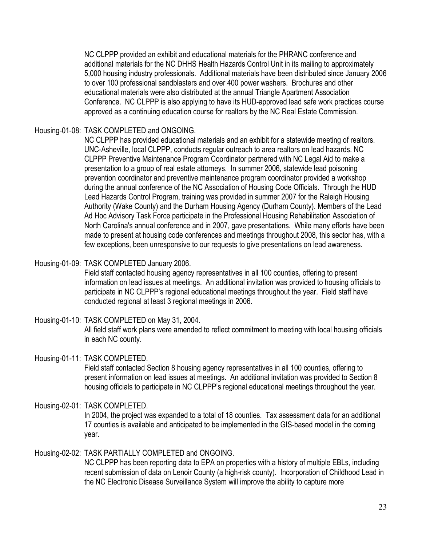NC CLPPP provided an exhibit and educational materials for the PHRANC conference and additional materials for the NC DHHS Health Hazards Control Unit in its mailing to approximately 5,000 housing industry professionals. Additional materials have been distributed since January 2006 to over 100 professional sandblasters and over 400 power washers. Brochures and other educational materials were also distributed at the annual Triangle Apartment Association Conference. NC CLPPP is also applying to have its HUD-approved lead safe work practices course approved as a continuing education course for realtors by the NC Real Estate Commission.

Housing-01-08: TASK COMPLETED and ONGOING.

NC CLPPP has provided educational materials and an exhibit for a statewide meeting of realtors. UNC-Asheville, local CLPPP, conducts regular outreach to area realtors on lead hazards. NC CLPPP Preventive Maintenance Program Coordinator partnered with NC Legal Aid to make a presentation to a group of real estate attorneys. In summer 2006, statewide lead poisoning prevention coordinator and preventive maintenance program coordinator provided a workshop during the annual conference of the NC Association of Housing Code Officials. Through the HUD Lead Hazards Control Program, training was provided in summer 2007 for the Raleigh Housing Authority (Wake County) and the Durham Housing Agency (Durham County). Members of the Lead Ad Hoc Advisory Task Force participate in the Professional Housing Rehabilitation Association of North Carolina's annual conference and in 2007, gave presentations. While many efforts have been made to present at housing code conferences and meetings throughout 2008, this sector has, with a few exceptions, been unresponsive to our requests to give presentations on lead awareness.

Housing-01-09: TASK COMPLETED January 2006.

Field staff contacted housing agency representatives in all 100 counties, offering to present information on lead issues at meetings. An additional invitation was provided to housing officials to participate in NC CLPPP's regional educational meetings throughout the year. Field staff have conducted regional at least 3 regional meetings in 2006.

Housing-01-10: TASK COMPLETED on May 31, 2004. All field staff work plans were amended to reflect commitment to meeting with local housing officials in each NC county.

# Housing-01-11: TASK COMPLETED.

Field staff contacted Section 8 housing agency representatives in all 100 counties, offering to present information on lead issues at meetings. An additional invitation was provided to Section 8 housing officials to participate in NC CLPPP's regional educational meetings throughout the year.

Housing-02-01: TASK COMPLETED.

In 2004, the project was expanded to a total of 18 counties. Tax assessment data for an additional 17 counties is available and anticipated to be implemented in the GIS-based model in the coming year.

Housing-02-02: TASK PARTIALLY COMPLETED and ONGOING. NC CLPPP has been reporting data to EPA on properties with a history of multiple EBLs, including recent submission of data on Lenoir County (a high-risk county). Incorporation of Childhood Lead in the NC Electronic Disease Surveillance System will improve the ability to capture more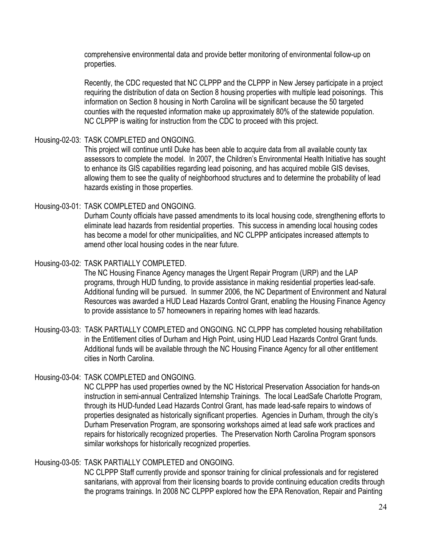comprehensive environmental data and provide better monitoring of environmental follow-up on properties.

Recently, the CDC requested that NC CLPPP and the CLPPP in New Jersey participate in a project requiring the distribution of data on Section 8 housing properties with multiple lead poisonings. This information on Section 8 housing in North Carolina will be significant because the 50 targeted counties with the requested information make up approximately 80% of the statewide population. NC CLPPP is waiting for instruction from the CDC to proceed with this project.

# Housing-02-03: TASK COMPLETED and ONGOING.

This project will continue until Duke has been able to acquire data from all available county tax assessors to complete the model. In 2007, the Children's Environmental Health Initiative has sought to enhance its GIS capabilities regarding lead poisoning, and has acquired mobile GIS devises, allowing them to see the quality of neighborhood structures and to determine the probability of lead hazards existing in those properties.

#### Housing-03-01: TASK COMPLETED and ONGOING.

Durham County officials have passed amendments to its local housing code, strengthening efforts to eliminate lead hazards from residential properties. This success in amending local housing codes has become a model for other municipalities, and NC CLPPP anticipates increased attempts to amend other local housing codes in the near future.

#### Housing-03-02: TASK PARTIALLY COMPLETED.

The NC Housing Finance Agency manages the Urgent Repair Program (URP) and the LAP programs, through HUD funding, to provide assistance in making residential properties lead-safe. Additional funding will be pursued. In summer 2006, the NC Department of Environment and Natural Resources was awarded a HUD Lead Hazards Control Grant, enabling the Housing Finance Agency to provide assistance to 57 homeowners in repairing homes with lead hazards.

Housing-03-03: TASK PARTIALLY COMPLETED and ONGOING. NC CLPPP has completed housing rehabilitation in the Entitlement cities of Durham and High Point, using HUD Lead Hazards Control Grant funds. Additional funds will be available through the NC Housing Finance Agency for all other entitlement cities in North Carolina.

# Housing-03-04: TASK COMPLETED and ONGOING.

NC CLPPP has used properties owned by the NC Historical Preservation Association for hands-on instruction in semi-annual Centralized Internship Trainings. The local LeadSafe Charlotte Program, through its HUD-funded Lead Hazards Control Grant, has made lead-safe repairs to windows of properties designated as historically significant properties. Agencies in Durham, through the city's Durham Preservation Program, are sponsoring workshops aimed at lead safe work practices and repairs for historically recognized properties. The Preservation North Carolina Program sponsors similar workshops for historically recognized properties.

# Housing-03-05: TASK PARTIALLY COMPLETED and ONGOING.

NC CLPPP Staff currently provide and sponsor training for clinical professionals and for registered sanitarians, with approval from their licensing boards to provide continuing education credits through the programs trainings. In 2008 NC CLPPP explored how the EPA Renovation, Repair and Painting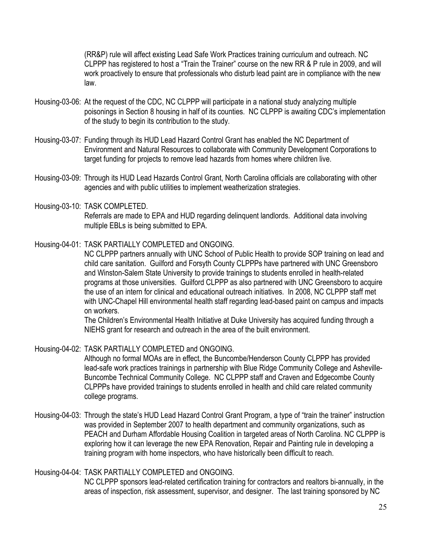(RR&P) rule will affect existing Lead Safe Work Practices training curriculum and outreach. NC CLPPP has registered to host a "Train the Trainer" course on the new RR & P rule in 2009, and will work proactively to ensure that professionals who disturb lead paint are in compliance with the new law.

- Housing-03-06: At the request of the CDC, NC CLPPP will participate in a national study analyzing multiple poisonings in Section 8 housing in half of its counties. NC CLPPP is awaiting CDC's implementation of the study to begin its contribution to the study.
- Housing-03-07: Funding through its HUD Lead Hazard Control Grant has enabled the NC Department of Environment and Natural Resources to collaborate with Community Development Corporations to target funding for projects to remove lead hazards from homes where children live.
- Housing-03-09: Through its HUD Lead Hazards Control Grant, North Carolina officials are collaborating with other agencies and with public utilities to implement weatherization strategies.
- Housing-03-10: TASK COMPLETED. Referrals are made to EPA and HUD regarding delinquent landlords. Additional data involving multiple EBLs is being submitted to EPA.
- Housing-04-01: TASK PARTIALLY COMPLETED and ONGOING.

NC CLPPP partners annually with UNC School of Public Health to provide SOP training on lead and child care sanitation. Guilford and Forsyth County CLPPPs have partnered with UNC Greensboro and Winston-Salem State University to provide trainings to students enrolled in health-related programs at those universities. Guilford CLPPP as also partnered with UNC Greensboro to acquire the use of an intern for clinical and educational outreach initiatives. In 2008, NC CLPPP staff met with UNC-Chapel Hill environmental health staff regarding lead-based paint on campus and impacts on workers.

The Children's Environmental Health Initiative at Duke University has acquired funding through a NIEHS grant for research and outreach in the area of the built environment.

Housing-04-02: TASK PARTIALLY COMPLETED and ONGOING.

Although no formal MOAs are in effect, the Buncombe/Henderson County CLPPP has provided lead-safe work practices trainings in partnership with Blue Ridge Community College and Asheville-Buncombe Technical Community College. NC CLPPP staff and Craven and Edgecombe County CLPPPs have provided trainings to students enrolled in health and child care related community college programs.

Housing-04-03: Through the state's HUD Lead Hazard Control Grant Program, a type of "train the trainer" instruction was provided in September 2007 to health department and community organizations, such as PEACH and Durham Affordable Housing Coalition in targeted areas of North Carolina. NC CLPPP is exploring how it can leverage the new EPA Renovation, Repair and Painting rule in developing a training program with home inspectors, who have historically been difficult to reach.

#### Housing-04-04: TASK PARTIALLY COMPLETED and ONGOING.

NC CLPPP sponsors lead-related certification training for contractors and realtors bi-annually, in the areas of inspection, risk assessment, supervisor, and designer. The last training sponsored by NC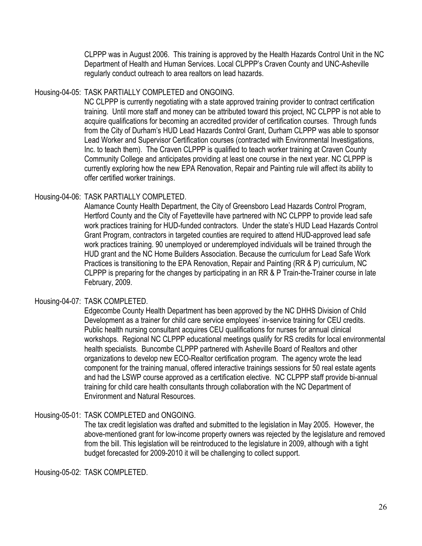CLPPP was in August 2006. This training is approved by the Health Hazards Control Unit in the NC Department of Health and Human Services. Local CLPPP's Craven County and UNC-Asheville regularly conduct outreach to area realtors on lead hazards.

# Housing-04-05: TASK PARTIALLY COMPLETED and ONGOING.

NC CLPPP is currently negotiating with a state approved training provider to contract certification training. Until more staff and money can be attributed toward this project, NC CLPPP is not able to acquire qualifications for becoming an accredited provider of certification courses. Through funds from the City of Durham's HUD Lead Hazards Control Grant, Durham CLPPP was able to sponsor Lead Worker and Supervisor Certification courses (contracted with Environmental Investigations, Inc. to teach them). The Craven CLPPP is qualified to teach worker training at Craven County Community College and anticipates providing at least one course in the next year. NC CLPPP is currently exploring how the new EPA Renovation, Repair and Painting rule will affect its ability to offer certified worker trainings.

# Housing-04-06: TASK PARTIALLY COMPLETED.

Alamance County Health Department, the City of Greensboro Lead Hazards Control Program, Hertford County and the City of Fayetteville have partnered with NC CLPPP to provide lead safe work practices training for HUD-funded contractors. Under the state's HUD Lead Hazards Control Grant Program, contractors in targeted counties are required to attend HUD-approved lead safe work practices training. 90 unemployed or underemployed individuals will be trained through the HUD grant and the NC Home Builders Association. Because the curriculum for Lead Safe Work Practices is transitioning to the EPA Renovation, Repair and Painting (RR & P) curriculum, NC CLPPP is preparing for the changes by participating in an RR & P Train-the-Trainer course in late February, 2009.

#### Housing-04-07: TASK COMPLETED.

Edgecombe County Health Department has been approved by the NC DHHS Division of Child Development as a trainer for child care service employees' in-service training for CEU credits. Public health nursing consultant acquires CEU qualifications for nurses for annual clinical workshops. Regional NC CLPPP educational meetings qualify for RS credits for local environmental health specialists. Buncombe CLPPP partnered with Asheville Board of Realtors and other organizations to develop new ECO-Realtor certification program. The agency wrote the lead component for the training manual, offered interactive trainings sessions for 50 real estate agents and had the LSWP course approved as a certification elective. NC CLPPP staff provide bi-annual training for child care health consultants through collaboration with the NC Department of Environment and Natural Resources.

# Housing-05-01: TASK COMPLETED and ONGOING.

The tax credit legislation was drafted and submitted to the legislation in May 2005. However, the above-mentioned grant for low-income property owners was rejected by the legislature and removed from the bill. This legislation will be reintroduced to the legislature in 2009, although with a tight budget forecasted for 2009-2010 it will be challenging to collect support.

Housing-05-02: TASK COMPLETED.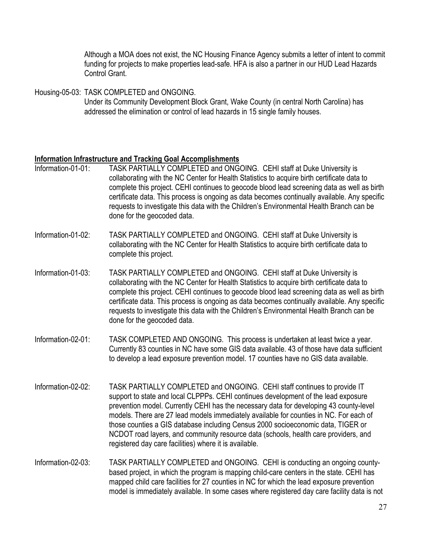Although a MOA does not exist, the NC Housing Finance Agency submits a letter of intent to commit funding for projects to make properties lead-safe. HFA is also a partner in our HUD Lead Hazards Control Grant.

Housing-05-03: TASK COMPLETED and ONGOING.

Under its Community Development Block Grant, Wake County (in central North Carolina) has addressed the elimination or control of lead hazards in 15 single family houses.

# **Information Infrastructure and Tracking Goal Accomplishments**

- Information-01-01: TASK PARTIALLY COMPLETED and ONGOING. CEHI staff at Duke University is collaborating with the NC Center for Health Statistics to acquire birth certificate data to complete this project. CEHI continues to geocode blood lead screening data as well as birth certificate data. This process is ongoing as data becomes continually available. Any specific requests to investigate this data with the Children's Environmental Health Branch can be done for the geocoded data.
- Information-01-02: TASK PARTIALLY COMPLETED and ONGOING. CEHI staff at Duke University is collaborating with the NC Center for Health Statistics to acquire birth certificate data to complete this project.
- Information-01-03: TASK PARTIALLY COMPLETED and ONGOING. CEHI staff at Duke University is collaborating with the NC Center for Health Statistics to acquire birth certificate data to complete this project. CEHI continues to geocode blood lead screening data as well as birth certificate data. This process is ongoing as data becomes continually available. Any specific requests to investigate this data with the Children's Environmental Health Branch can be done for the geocoded data.
- Information-02-01: TASK COMPLETED AND ONGOING. This process is undertaken at least twice a year. Currently 83 counties in NC have some GIS data available. 43 of those have data sufficient to develop a lead exposure prevention model. 17 counties have no GIS data available.
- Information-02-02: TASK PARTIALLY COMPLETED and ONGOING. CEHI staff continues to provide IT support to state and local CLPPPs. CEHI continues development of the lead exposure prevention model. Currently CEHI has the necessary data for developing 43 county-level models. There are 27 lead models immediately available for counties in NC. For each of those counties a GIS database including Census 2000 socioeconomic data, TIGER or NCDOT road layers, and community resource data (schools, health care providers, and registered day care facilities) where it is available.
- Information-02-03: TASK PARTIALLY COMPLETED and ONGOING. CEHI is conducting an ongoing countybased project, in which the program is mapping child-care centers in the state. CEHI has mapped child care facilities for 27 counties in NC for which the lead exposure prevention model is immediately available. In some cases where registered day care facility data is not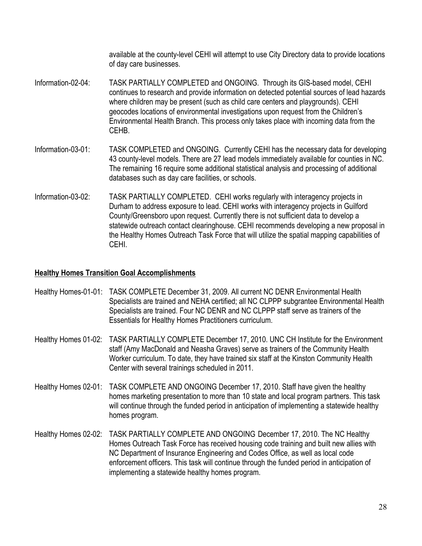available at the county-level CEHI will attempt to use City Directory data to provide locations of day care businesses.

- Information-02-04: TASK PARTIALLY COMPLETED and ONGOING. Through its GIS-based model, CEHI continues to research and provide information on detected potential sources of lead hazards where children may be present (such as child care centers and playgrounds). CEHI geocodes locations of environmental investigations upon request from the Children's Environmental Health Branch. This process only takes place with incoming data from the CEHB.
- Information-03-01: TASK COMPLETED and ONGOING. Currently CEHI has the necessary data for developing 43 county-level models. There are 27 lead models immediately available for counties in NC. The remaining 16 require some additional statistical analysis and processing of additional databases such as day care facilities, or schools.
- Information-03-02: TASK PARTIALLY COMPLETED. CEHI works regularly with interagency projects in Durham to address exposure to lead. CEHI works with interagency projects in Guilford County/Greensboro upon request. Currently there is not sufficient data to develop a statewide outreach contact clearinghouse. CEHI recommends developing a new proposal in the Healthy Homes Outreach Task Force that will utilize the spatial mapping capabilities of CEHI.

# **Healthy Homes Transition Goal Accomplishments**

| Healthy Homes-01-01: TASK COMPLETE December 31, 2009. All current NC DENR Environmental Health |
|------------------------------------------------------------------------------------------------|
| Specialists are trained and NEHA certified; all NC CLPPP subgrantee Environmental Health       |
| Specialists are trained. Four NC DENR and NC CLPPP staff serve as trainers of the              |
| Essentials for Healthy Homes Practitioners curriculum.                                         |
|                                                                                                |

- Healthy Homes 01-02: TASK PARTIALLY COMPLETE December 17, 2010. UNC CH Institute for the Environment staff (Amy MacDonald and Neasha Graves) serve as trainers of the Community Health Worker curriculum. To date, they have trained six staff at the Kinston Community Health Center with several trainings scheduled in 2011.
- Healthy Homes 02-01: TASK COMPLETE AND ONGOING December 17, 2010. Staff have given the healthy homes marketing presentation to more than 10 state and local program partners. This task will continue through the funded period in anticipation of implementing a statewide healthy homes program.
- Healthy Homes 02-02: TASK PARTIALLY COMPLETE AND ONGOING December 17, 2010. The NC Healthy Homes Outreach Task Force has received housing code training and built new allies with NC Department of Insurance Engineering and Codes Office, as well as local code enforcement officers. This task will continue through the funded period in anticipation of implementing a statewide healthy homes program.